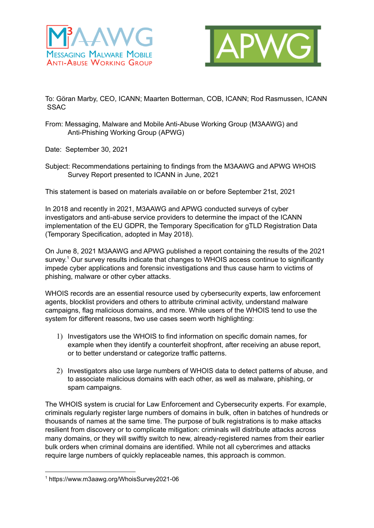



To: Göran Marby, CEO, ICANN; Maarten Botterman, COB, ICANN; Rod Rasmussen, ICANN **SSAC** 

- From: Messaging, Malware and Mobile Anti-Abuse Working Group (M3AAWG) and Anti-Phishing Working Group (APWG)
- Date: September 30, 2021
- Subject: Recommendations pertaining to findings from the M3AAWG and APWG WHOIS Survey Report presented to ICANN in June, 2021

This statement is based on materials aYailable on or before September 21st, 2021

In 2018 and recently in 2021, M3AAWG and APWG conducted surveys of cyber investigators and anti-abuse service providers to determine the impact of the ICANN implementation of the EU GDPR, the Temporary Specification for gTLD Registration Data (Temporary Specification, adopted in May 2018).

On June 8, 2021 M3AAWG and APWG published a report containing the results of the 2021 survey.<sup>1</sup> Our survey results indicate that changes to WHOIS access continue to significantly impede cyber applications and forensic investigations and thus cause harm to victims of phishing, malware or other cyber attacks.

WHOIS records are an essential resource used by cybersecurity experts, law enforcement agents, blocklist providers and others to attribute criminal activity, understand malware campaigns, flag malicious domains, and more. While users of the WHOIS tend to use the system for different reasons, two use cases seem worth highlighting:

- 1) Investigators use the WHOIS to find information on specific domain names, for example when they identify a counterfeit shopfront, after receiving an abuse report, or to better understand or categorize traffic patterns.
- 2) Investigators also use large numbers of WHOIS data to detect patterns of abuse, and to associate malicious domains with each other, as well as malware, phishing, or spam campaigns.

The WHOIS system is crucial for Law Enforcement and Cybersecurity experts. For example, criminals regularly register large numbers of domains in bulk, often in batches of hundreds or thousands of names at the same time. The purpose of bulk registrations is to make attacks resilient from discovery or to complicate mitigation: criminals will distribute attacks across many domains, or they will swiftly switch to new, already-registered names from their earlier bulk orders when criminal domains are identified. While not all cybercrimes and attacks require large numbers of quickly replaceable names, this approach is common.

 $1$  https://www.m3aawg.org/WhoisSurvey2021-06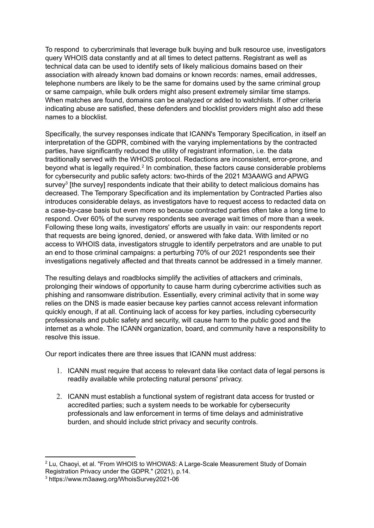To respond to cybercriminals that leverage bulk buying and bulk resource use, investigators query WHOIS data constantly and at all times to detect patterns. Registrant as well as technical data can be used to identify sets of likely malicious domains based on their association with already known bad domains or known records: names, email addresses, telephone numbers are likely to be the same for domains used by the same criminal group or same campaign, while bulk orders might also present extremely similar time stamps. When matches are found, domains can be analyzed or added to watchlists. If other criteria indicating abuse are satisfied, these defenders and blocklist providers might also add these names to a blocklist.

Specifically, the survey responses indicate that ICANN's Temporary Specification, in itself an interpretation of the GDPR, combined with the varying implementations by the contracted parties, have significantly reduced the utility of registrant information, i.e. the data traditionally served with the WHOIS protocol. Redactions are inconsistent, error-prone, and beyond what is legally required.<sup>2</sup> In combination, these factors cause considerable problems for cybersecurity and public safety actors: two-thirds of the 2021 M3AAWG and APWG survey<sup>3</sup> [the survey] respondents indicate that their ability to detect malicious domains has decreased. The Temporary Specification and its implementation by Contracted Parties also introduces considerable delays, as investigators have to request access to redacted data on a case-by-case basis but even more so because contracted parties often take a long time to respond. Over 60% of the survey respondents see average wait times of more than a week. Following these long waits, investigators' efforts are usually in vain: our respondents report that requests are being ignored, denied, or answered with fake data. With limited or no access to WHOIS data, investigators struggle to identify perpetrators and are unable to put an end to those criminal campaigns: a perturbing 70% of our 2021 respondents see their investigations negatively affected and that threats cannot be addressed in a timely manner.

The resulting delays and roadblocks simplify the activities of attackers and criminals, prolonging their windows of opportunity to cause harm during cybercrime activities such as phishing and ransomware distribution. Essentially, every criminal activity that in some way relies on the DNS is made easier because key parties cannot access relevant information quickly enough, if at all. Continuing lack of access for key parties, including cybersecurity professionals and public safety and security, will cause harm to the public good and the internet as a whole. The ICANN organization, board, and community have a responsibility to resolve this issue.

Our report indicates there are three issues that ICANN must address:

- 1. ICANN must require that access to relevant data like contact data of legal persons is readily available while protecting natural persons' privacy.
- 2. ICANN must establish a functional system of registrant data access for trusted or accredited parties; such a system needs to be workable for cybersecurity professionals and law enforcement in terms of time delays and administrative burden, and should include strict privacy and security controls.

 $2$  Lu, Chaoyi, et al. "From WHOIS to WHOWAS: A Large-Scale Measurement Study of Domain Registration Privacy under the GDPR." (2021), p.14.

<sup>&</sup>lt;sup>3</sup> https://www.m3aawg.org/WhoisSurvey2021-06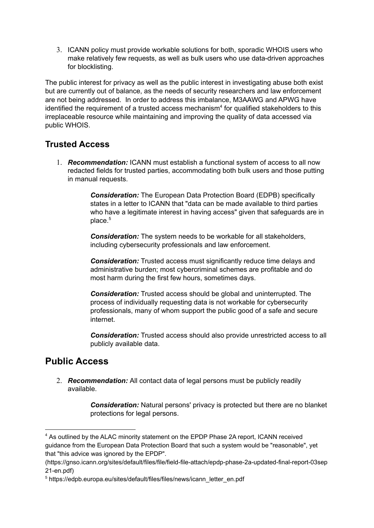3. ICANN policy must provide workable solutions for both, sporadic WHOIS users who make relatively few requests, as well as bulk users who use data-driven approaches for blocklisting.

The public interest for privacy as well as the public interest in investigating abuse both exist but are currently out of balance, as the needs of security researchers and law enforcement are not being addressed. In order to address this imbalance, M3AAWG and APWG have identified the requirement of a trusted access mechanism<sup>4</sup> for qualified stakeholders to this irreplaceable resource while maintaining and improving the quality of data accessed via public WHOIS.

## **Trusted Access**

1. **Recommendation:** ICANN must establish a functional system of access to all now redacted fields for trusted parties, accommodating both bulk users and those putting in manual requests.

> **Consideration:** The European Data Protection Board (EDPB) specifically states in a letter to ICANN that "data can be made available to third parties who have a legitimate interest in having access" given that safeguards are in place. 5

**Consideration:** The system needs to be workable for all stakeholders, including cybersecurity professionals and law enforcement.

**Consideration:** Trusted access must significantly reduce time delays and administrative burden; most cybercriminal schemes are profitable and do most harm during the first few hours, sometimes days.

**Consideration:** Trusted access should be global and uninterrupted. The process of individually requesting data is not workable for cybersecurity professionals, many of whom support the public good of a safe and secure internet.

**Consideration:** Trusted access should also provide unrestricted access to all publicly available data.

## **Public Access**

2. **Recommendation:** All contact data of legal persons must be publicly readily aYailable.

> **Consideration:** Natural persons' privacy is protected but there are no blanket protections for legal persons.

<sup>&</sup>lt;sup>4</sup> As outlined by the ALAC minority statement on the EPDP Phase 2A report, ICANN received guidance from the European Data Protection Board that such a system would be "reasonable", yet that "this advice was ignored by the EPDP".

<sup>(</sup>https://gnso.icann.org/sites/default/files/file/field-file-attach/epdp-phase-2a-updated-final-report-03sep 21-en.pdf)

<sup>5</sup> https://edpb.europa.eu/sites/default/files/files/news/icann\_letter\_en.pdf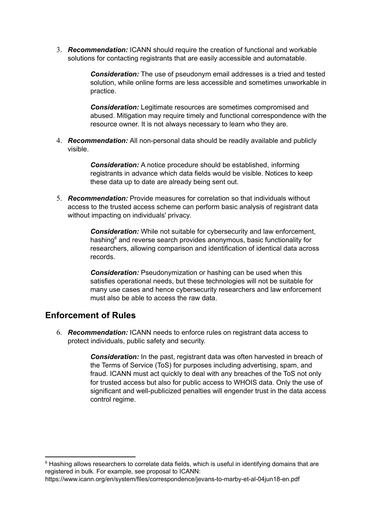3. **Recommendation:** ICANN should require the creation of functional and workable solutions for contacting registrants that are easily accessible and automatable.

> **Consideration:** The use of pseudonym email addresses is a tried and tested solution, while online forms are less accessible and sometimes unworkable in practice.

> **Consideration:** Legitimate resources are sometimes compromised and abused. Mitigation may require timely and functional correspondence with the resource owner. It is not always necessary to learn who they are.

4. **Recommendation:** All non-personal data should be readily available and publicly Yisible.

> **Consideration:** A notice procedure should be established, informing registrants in advance which data fields would be visible. Notices to keep these data up to date are already being sent out.

5. **Recommendation:** Provide measures for correlation so that individuals without access to the trusted access scheme can perform basic analysis of registrant data without impacting on individuals' privacy.

> **Consideration:** While not suitable for cybersecurity and law enforcement, hashing $<sup>6</sup>$  and reverse search provides anonymous, basic functionality for</sup> researchers, allowing comparison and identification of identical data across records.

**Consideration:** Pseudonymization or hashing can be used when this satisfies operational needs, but these technologies will not be suitable for many use cases and hence cybersecurity researchers and law enforcement must also be able to access the raw data.

## **Enforcement of Rules**

6. **Recommendation:** ICANN needs to enforce rules on registrant data access to protect individuals, public safety and security.

> **Consideration:** In the past, registrant data was often harvested in breach of the Terms of Service (ToS) for purposes including advertising, spam, and fraud. ICANN must act quickly to deal with any breaches of the ToS not only for trusted access but also for public access to WHOIS data. Only the use of significant and well-publicized penalties will engender trust in the data access control regime.

 $6$  Hashing allows researchers to correlate data fields, which is useful in identifying domains that are registered in bulk. For example, see proposal to ICANN:

https://www.icann.org/en/system/files/correspondence/jevans-to-marby-et-al-04jun18-en.pdf